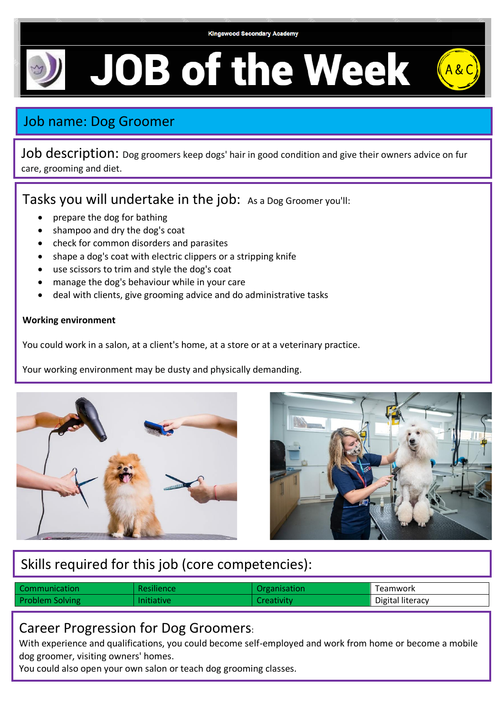# **JOB of the Week**

## Job name: Dog Groomer

Job description: Dog groomers keep dogs' hair in good condition and give their owners advice on fur care, grooming and diet.

Tasks you will undertake in the job: As a Dog Groomer you'll:

- prepare the dog for bathing
- shampoo and dry the dog's coat
- check for common disorders and parasites
- shape a dog's coat with electric clippers or a stripping knife
- use scissors to trim and style the dog's coat
- manage the dog's behaviour while in your care
- deal with clients, give grooming advice and do administrative tasks

#### **Working environment**

You could work in a salon, at a client's home, at a store or at a veterinary practice.

Your working environment may be dusty and physically demanding.





# Skills required for this job (core competencies):

| Communication          | Resilience | Organisation | Teamwork         |
|------------------------|------------|--------------|------------------|
| <b>Problem Solving</b> | Initiative | :reativity   | Digital literacy |

#### Career Progression for Dog Groomers:

With experience and qualifications, you could become self-employed and work from home or become a mobile dog groomer, visiting owners' homes.

You could also open your own salon or teach dog grooming classes.